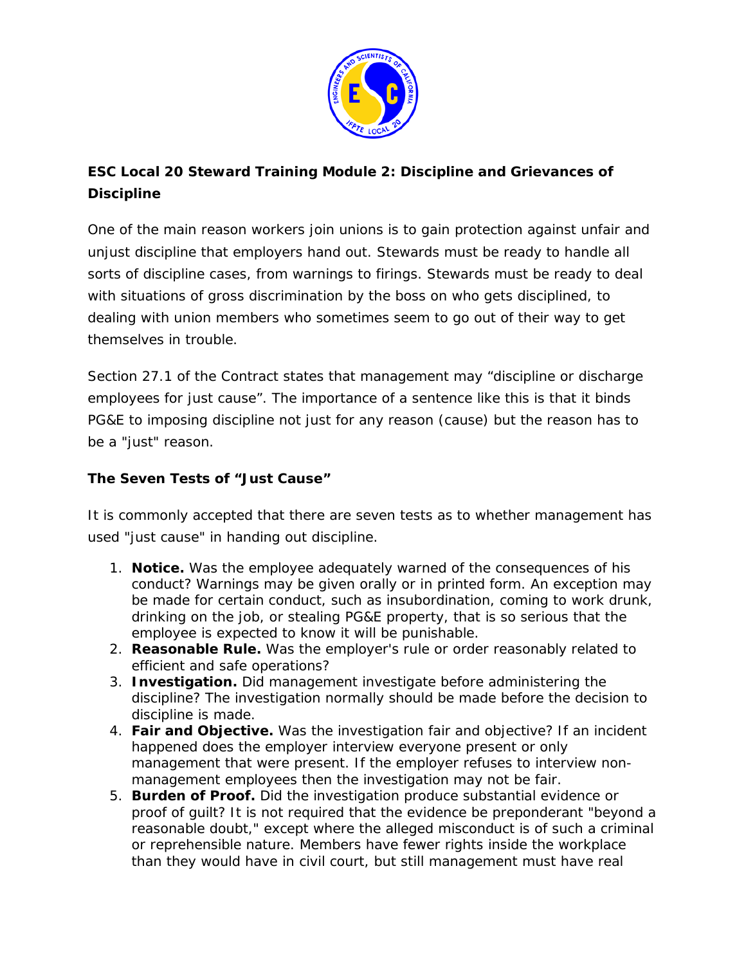

# **ESC Local 20 Steward Training Module 2: Discipline and Grievances of Discipline**

One of the main reason workers join unions is to gain protection against unfair and unjust discipline that employers hand out. Stewards must be ready to handle all sorts of discipline cases, from warnings to firings. Stewards must be ready to deal with situations of gross discrimination by the boss on who gets disciplined, to dealing with union members who sometimes seem to go out of their way to get themselves in trouble.

Section 27.1 of the Contract states that management may "discipline or discharge employees for just cause". The importance of a sentence like this is that it binds PG&E to imposing discipline not just for any reason (cause) but the reason has to be a "just" reason.

# **The Seven Tests of "Just Cause"**

It is commonly accepted that there are seven tests as to whether management has used "just cause" in handing out discipline.

- 1. **Notice.** Was the employee adequately warned of the consequences of his conduct? Warnings may be given orally or in printed form. An exception may be made for certain conduct, such as insubordination, coming to work drunk, drinking on the job, or stealing PG&E property, that is so serious that the employee is expected to know it will be punishable.
- 2. **Reasonable Rule.** Was the employer's rule or order reasonably related to efficient and safe operations?
- 3. **Investigation.** Did management investigate before administering the discipline? The investigation normally should be made before the decision to discipline is made.
- 4. **Fair and Objective.** Was the investigation fair and objective? If an incident happened does the employer interview everyone present or only management that were present. If the employer refuses to interview nonmanagement employees then the investigation may not be fair.
- 5. **Burden of Proof.** Did the investigation produce substantial evidence or proof of guilt? It is not required that the evidence be preponderant "beyond a reasonable doubt," except where the alleged misconduct is of such a criminal or reprehensible nature. Members have fewer rights inside the workplace than they would have in civil court, but still management must have real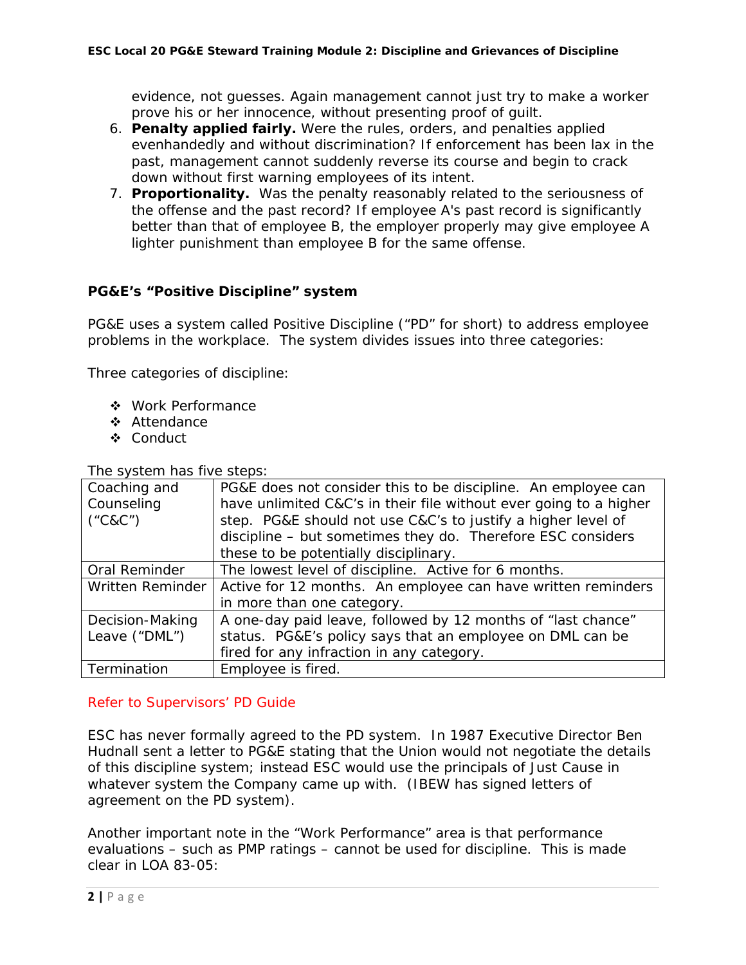evidence, not guesses. Again management cannot just try to make a worker prove his or her innocence, without presenting proof of guilt.

- 6. **Penalty applied fairly.** Were the rules, orders, and penalties applied evenhandedly and without discrimination? If enforcement has been lax in the past, management cannot suddenly reverse its course and begin to crack down without first warning employees of its intent.
- 7. **Proportionality.** Was the penalty reasonably related to the seriousness of the offense and the past record? If employee A's past record is significantly better than that of employee B, the employer properly may give employee A lighter punishment than employee B for the same offense.

# **PG&E's "Positive Discipline" system**

PG&E uses a system called Positive Discipline ("PD" for short) to address employee problems in the workplace. The system divides issues into three categories:

Three categories of discipline:

- ❖ Work Performance
- ❖ Attendance
- ❖ Conduct

The system has five steps:

| Coaching and             | PG&E does not consider this to be discipline. An employee can     |
|--------------------------|-------------------------------------------------------------------|
| Counseling               | have unlimited C&C's in their file without ever going to a higher |
| $(^{\circ}C8C^{\prime})$ | step. PG&E should not use C&C's to justify a higher level of      |
|                          | discipline - but sometimes they do. Therefore ESC considers       |
|                          | these to be potentially disciplinary.                             |
| Oral Reminder            | The lowest level of discipline. Active for 6 months.              |
| Written Reminder         | Active for 12 months. An employee can have written reminders      |
|                          | in more than one category.                                        |
| Decision-Making          | A one-day paid leave, followed by 12 months of "last chance"      |
| Leave ("DML")            | status. PG&E's policy says that an employee on DML can be         |
|                          | fired for any infraction in any category.                         |
| Termination              | Employee is fired.                                                |

## *Refer to Supervisors' PD Guide*

ESC has never formally agreed to the PD system. In 1987 Executive Director Ben Hudnall sent a letter to PG&E stating that the Union would not negotiate the details of this discipline system; instead ESC would use the principals of Just Cause in whatever system the Company came up with. (IBEW has signed letters of agreement on the PD system).

Another important note in the "Work Performance" area is that performance evaluations – such as PMP ratings – cannot be used for discipline. This is made clear in LOA 83-05: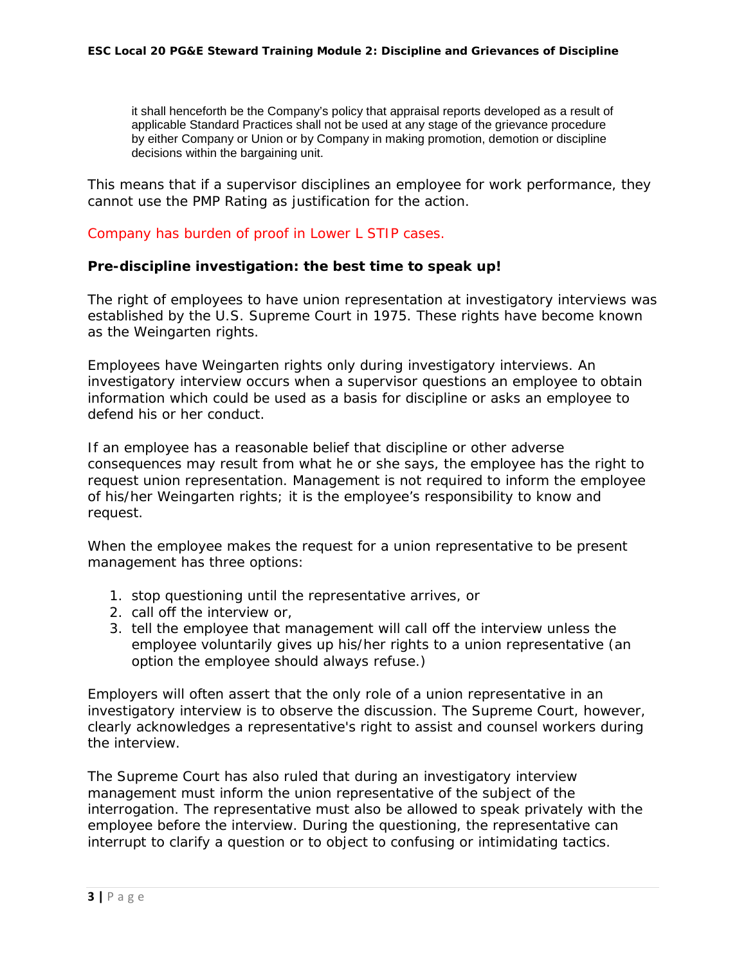it shall henceforth be the Company's policy that appraisal reports developed as a result of applicable Standard Practices shall not be used at any stage of the grievance procedure by either Company or Union or by Company in making promotion, demotion or discipline decisions within the bargaining unit.

This means that if a supervisor disciplines an employee for work performance, they cannot use the PMP Rating as justification for the action.

### *Company has burden of proof in Lower L STIP cases.*

#### **Pre-discipline investigation: the best time to speak up!**

The right of employees to have union representation at investigatory interviews was established by the U.S. Supreme Court in 1975. These rights have become known as the *Weingarten* rights.

Employees have *Weingarten* rights only during investigatory interviews. An investigatory interview occurs when a supervisor questions an employee to obtain information which could be used as a basis for discipline or asks an employee to defend his or her conduct.

If an employee has a reasonable belief that discipline or other adverse consequences may result from what he or she says, the employee has the right to request union representation. Management is not required to inform the employee of his/her *Weingarten* rights; it is the employee's responsibility to know and request.

When the employee makes the request for a union representative to be present management has three options:

- 1. stop questioning until the representative arrives, or
- 2. call off the interview or,
- 3. tell the employee that management will call off the interview unless the employee voluntarily gives up his/her rights to a union representative (an option the employee should always refuse.)

Employers will often assert that the only role of a union representative in an investigatory interview is to observe the discussion. The Supreme Court, however, clearly acknowledges a representative's right to assist and counsel workers during the interview.

The Supreme Court has also ruled that during an investigatory interview management must inform the union representative of the subject of the interrogation. The representative must also be allowed to speak privately with the employee before the interview. During the questioning, the representative can interrupt to clarify a question or to object to confusing or intimidating tactics.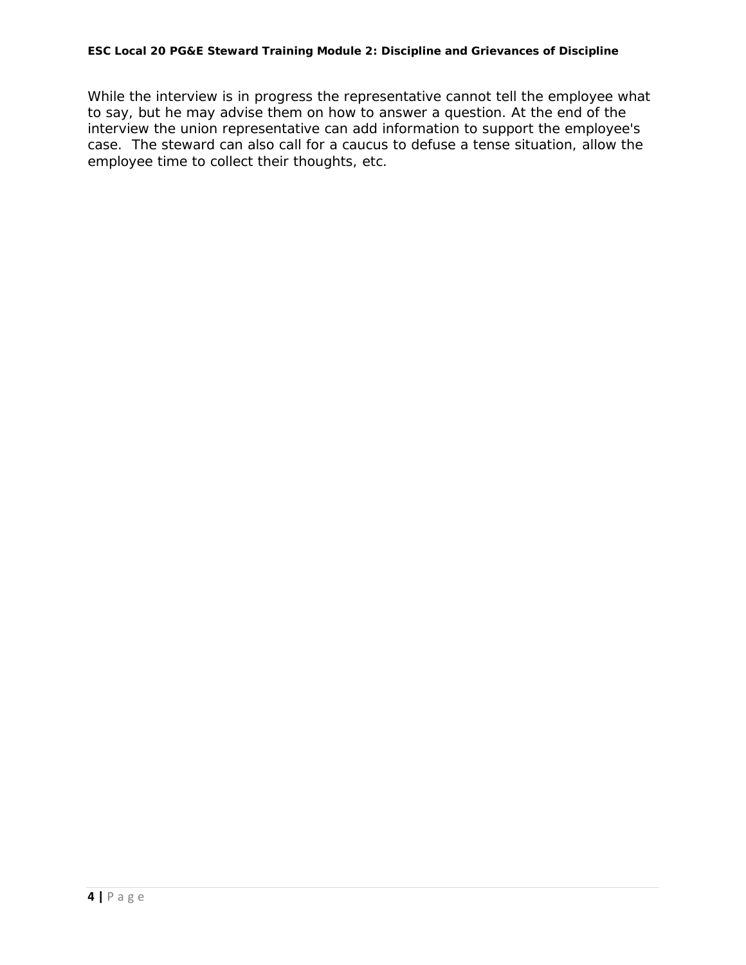While the interview is in progress the representative cannot tell the employee what to say, but he may advise them on how to answer a question. At the end of the interview the union representative can add information to support the employee's case. The steward can also call for a caucus to defuse a tense situation, allow the employee time to collect their thoughts, etc.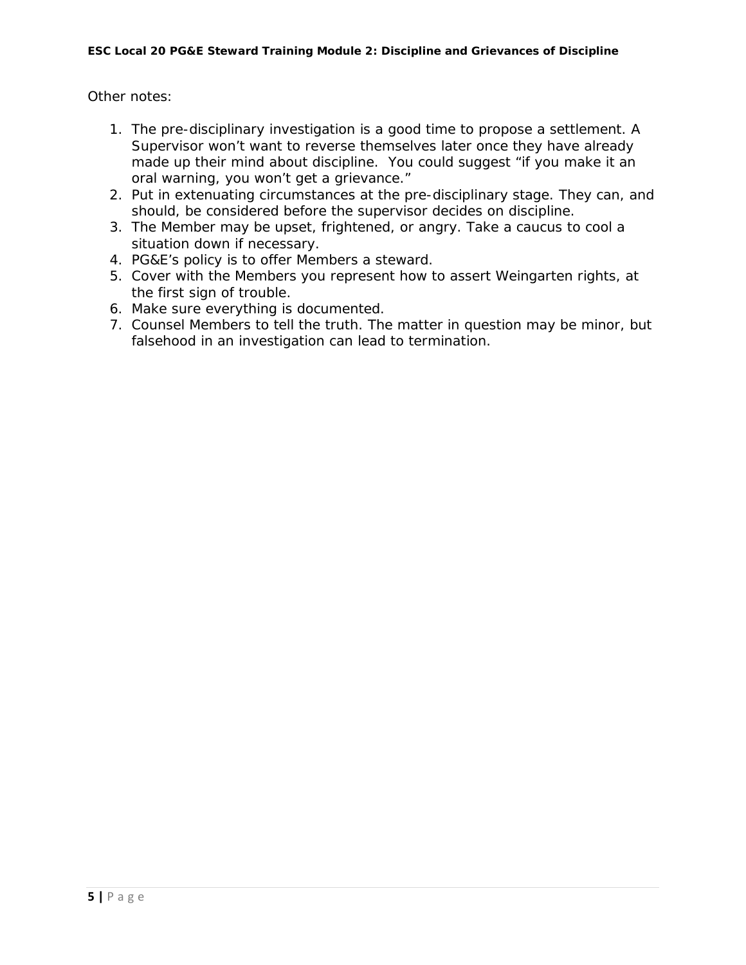Other notes:

- 1. The pre-disciplinary investigation is a good time to propose a settlement. A Supervisor won't want to reverse themselves later once they have already made up their mind about discipline. You could suggest "if you make it an oral warning, you won't get a grievance."
- 2. Put in extenuating circumstances at the pre-disciplinary stage. They can, and should, be considered before the supervisor decides on discipline.
- 3. The Member may be upset, frightened, or angry. Take a caucus to cool a situation down if necessary.
- 4. PG&E's policy is to offer Members a steward.
- 5. Cover with the Members you represent how to assert Weingarten rights, at the first sign of trouble.
- 6. Make sure everything is documented.
- 7. Counsel Members to tell the truth. The matter in question may be minor, but falsehood in an investigation can lead to termination.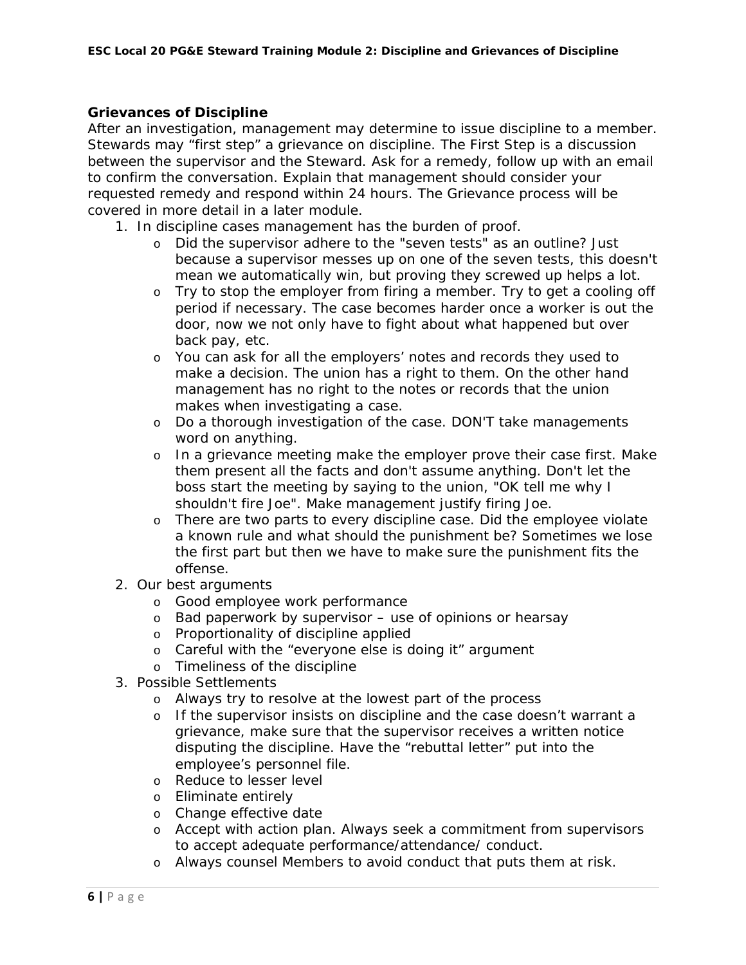### **Grievances of Discipline**

After an investigation, management may determine to issue discipline to a member. Stewards may "first step" a grievance on discipline. The First Step is a discussion between the supervisor and the Steward. Ask for a remedy, follow up with an email to confirm the conversation. Explain that management should consider your requested remedy and respond within 24 hours. The Grievance process will be covered in more detail in a later module.

- 1. In discipline cases management has the burden of proof.
	- o Did the supervisor adhere to the "seven tests" as an outline? Just because a supervisor messes up on one of the seven tests, this doesn't mean we automatically win, but proving they screwed up helps a lot.
	- o Try to stop the employer from firing a member. Try to get a cooling off period if necessary. The case becomes harder once a worker is out the door, now we not only have to fight about what happened but over back pay, etc.
	- o You can ask for all the employers' notes and records they used to make a decision. The union has a right to them. On the other hand management has no right to the notes or records that the union makes when investigating a case.
	- o Do a thorough investigation of the case. DON'T take managements word on anything.
	- o In a grievance meeting make the employer prove their case first. Make them present all the facts and don't assume anything. Don't let the boss start the meeting by saying to the union, "OK tell me why I shouldn't fire Joe". Make management justify firing Joe.
	- o There are two parts to every discipline case. Did the employee violate a known rule and what should the punishment be? Sometimes we lose the first part but then we have to make sure the punishment fits the offense.
- 2. Our best arguments
	- o Good employee work performance
	- o Bad paperwork by supervisor use of opinions or hearsay
	- o Proportionality of discipline applied
	- o Careful with the "everyone else is doing it" argument
	- o Timeliness of the discipline
- 3. Possible Settlements
	- o Always try to resolve at the lowest part of the process
	- o If the supervisor insists on discipline and the case doesn't warrant a grievance, make sure that the supervisor receives a written notice disputing the discipline. Have the "rebuttal letter" put into the employee's personnel file.
	- o Reduce to lesser level
	- o Eliminate entirely
	- o Change effective date
	- o Accept with action plan. Always seek a commitment from supervisors to accept adequate performance/attendance/ conduct.
	- o Always counsel Members to avoid conduct that puts them at risk.